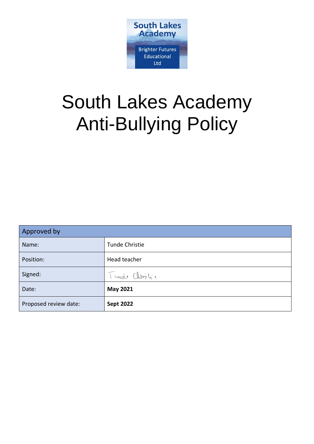

# South Lakes Academy Anti-Bullying Policy

| Approved by           |                  |
|-----------------------|------------------|
| Name:                 | Tunde Christie   |
| Position:             | Head teacher     |
| Signed:               | Turde Christic   |
| Date:                 | <b>May 2021</b>  |
| Proposed review date: | <b>Sept 2022</b> |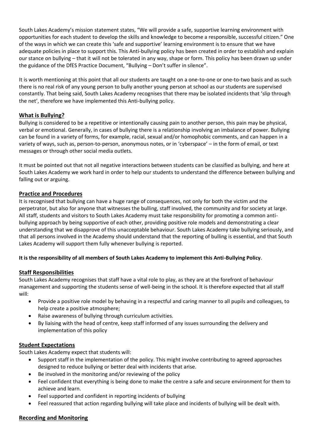South Lakes Academy's mission statement states, "We will provide a safe, supportive learning environment with opportunities for each student to develop the skills and knowledge to become a responsible, successful citizen." One of the ways in which we can create this 'safe and supportive' learning environment is to ensure that we have adequate policies in place to support this. This Anti-bullying policy has been created in order to establish and explain our stance on bullying – that it will not be tolerated in any way, shape or form. This policy has been drawn up under the guidance of the DfES Practice Document, "Bullying – Don't suffer in silence".

It is worth mentioning at this point that all our students are taught on a one-to-one or one-to-two basis and as such there is no real risk of any young person to bully another young person at school as our students are supervised constantly. That being said, South Lakes Academy recognises that there may be isolated incidents that 'slip through the net', therefore we have implemented this Anti-bullying policy.

# **What is Bullying?**

Bullying is considered to be a repetitive or intentionally causing pain to another person, this pain may be physical, verbal or emotional. Generally, in cases of bullying there is a relationship involving an imbalance of power. Bullying can be found in a variety of forms, for example, racial, sexual and/or homophobic comments, and can happen in a variety of ways, such as, person-to-person, anonymous notes, or in 'cyberspace' – in the form of email, or text messages or through other social media outlets.

It must be pointed out that not all negative interactions between students can be classified as bullying, and here at South Lakes Academy we work hard in order to help our students to understand the difference between bullying and falling out or arguing.

# **Practice and Procedures**

It is recognised that bullying can have a huge range of consequences, not only for both the victim and the perpetrator, but also for anyone that witnesses the bulling, staff involved, the community and for society at large. All staff, students and visitors to South Lakes Academy must take responsibility for promoting a common antibullying approach by being supportive of each other, providing positive role models and demonstrating a clear understanding that we disapprove of this unacceptable behaviour. South Lakes Academy take bullying seriously, and that all persons involved in the Academy should understand that the reporting of bulling is essential, and that South Lakes Academy will support them fully whenever bullying is reported.

### **It is the responsibility of all members of South Lakes Academy to implement this Anti-Bullying Policy**.

### **Staff Responsibilities**

South Lakes Academy recognises that staff have a vital role to play, as they are at the forefront of behaviour management and supporting the students sense of well-being in the school. It is therefore expected that all staff will:

- Provide a positive role model by behaving in a respectful and caring manner to all pupils and colleagues, to help create a positive atmosphere;
- Raise awareness of bullying through curriculum activities.
- By liaising with the head of centre, keep staff informed of any issues surrounding the delivery and implementation of this policy

### **Student Expectations**

South Lakes Academy expect that students will:

- Support staff in the implementation of the policy. This might involve contributing to agreed approaches designed to reduce bullying or better deal with incidents that arise.
- Be involved in the monitoring and/or reviewing of the policy
- Feel confident that everything is being done to make the centre a safe and secure environment for them to achieve and learn.
- Feel supported and confident in reporting incidents of bullying
- Feel reassured that action regarding bullying will take place and incidents of bullying will be dealt with.

### **Recording and Monitoring**